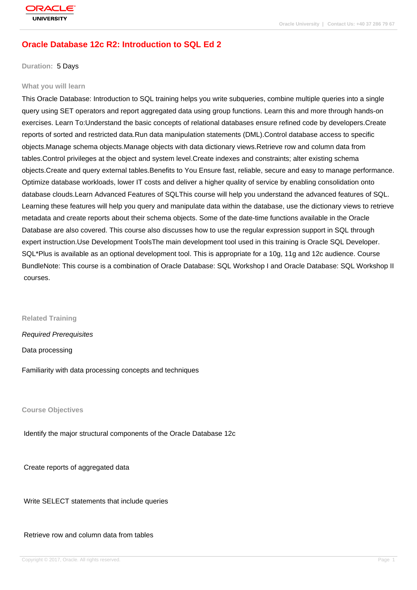# **[Oracle Databas](http://education.oracle.com/pls/web_prod-plq-dad/db_pages.getpage?page_id=3)e 12c R2: Introduction to SQL Ed 2**

#### **Duration:** 5 Days

#### **What you will learn**

This Oracle Database: Introduction to SQL training helps you write subqueries, combine multiple queries into a single query using SET operators and report aggregated data using group functions. Learn this and more through hands-on exercises. Learn To:Understand the basic concepts of relational databases ensure refined code by developers.Create reports of sorted and restricted data.Run data manipulation statements (DML).Control database access to specific objects.Manage schema objects.Manage objects with data dictionary views.Retrieve row and column data from tables.Control privileges at the object and system level.Create indexes and constraints; alter existing schema objects.Create and query external tables.Benefits to You Ensure fast, reliable, secure and easy to manage performance. Optimize database workloads, lower IT costs and deliver a higher quality of service by enabling consolidation onto database clouds.Learn Advanced Features of SQLThis course will help you understand the advanced features of SQL. Learning these features will help you query and manipulate data within the database, use the dictionary views to retrieve metadata and create reports about their schema objects. Some of the date-time functions available in the Oracle Database are also covered. This course also discusses how to use the regular expression support in SQL through expert instruction.Use Development ToolsThe main development tool used in this training is Oracle SQL Developer. SQL\*Plus is available as an optional development tool. This is appropriate for a 10g, 11g and 12c audience. Course BundleNote: This course is a combination of Oracle Database: SQL Workshop I and Oracle Database: SQL Workshop II courses.

**Related Training**

Required Prerequisites

Data processing

Familiarity with data processing concepts and techniques

**Course Objectives**

Identify the major structural components of the Oracle Database 12c

Create reports of aggregated data

Write SELECT statements that include queries

Retrieve row and column data from tables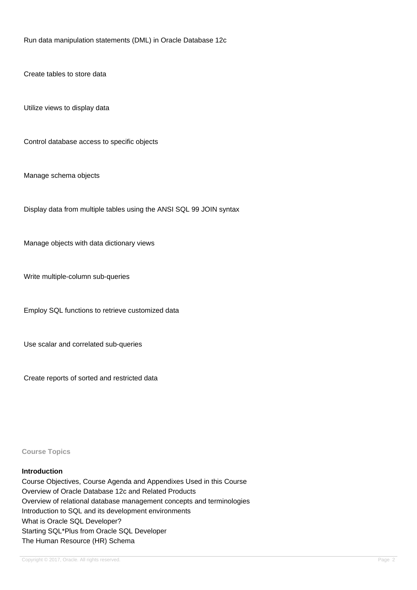Run data manipulation statements (DML) in Oracle Database 12c

Create tables to store data

Utilize views to display data

Control database access to specific objects

Manage schema objects

Display data from multiple tables using the ANSI SQL 99 JOIN syntax

Manage objects with data dictionary views

Write multiple-column sub-queries

Employ SQL functions to retrieve customized data

Use scalar and correlated sub-queries

Create reports of sorted and restricted data

**Course Topics**

#### **Introduction**

Course Objectives, Course Agenda and Appendixes Used in this Course Overview of Oracle Database 12c and Related Products Overview of relational database management concepts and terminologies Introduction to SQL and its development environments What is Oracle SQL Developer? Starting SQL\*Plus from Oracle SQL Developer The Human Resource (HR) Schema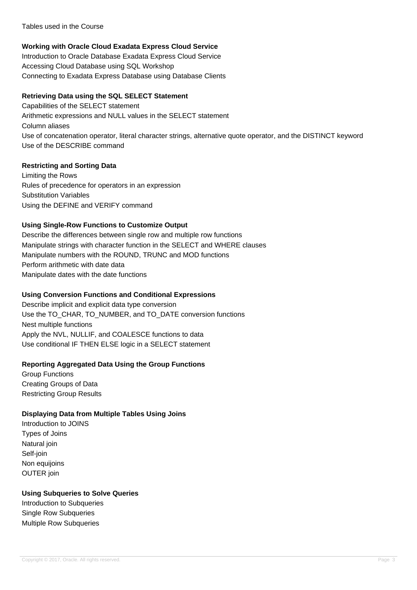Tables used in the Course

## **Working with Oracle Cloud Exadata Express Cloud Service**

Introduction to Oracle Database Exadata Express Cloud Service Accessing Cloud Database using SQL Workshop Connecting to Exadata Express Database using Database Clients

#### **Retrieving Data using the SQL SELECT Statement**

Capabilities of the SELECT statement Arithmetic expressions and NULL values in the SELECT statement Column aliases Use of concatenation operator, literal character strings, alternative quote operator, and the DISTINCT keyword Use of the DESCRIBE command

## **Restricting and Sorting Data**

Limiting the Rows Rules of precedence for operators in an expression Substitution Variables Using the DEFINE and VERIFY command

## **Using Single-Row Functions to Customize Output**

Describe the differences between single row and multiple row functions Manipulate strings with character function in the SELECT and WHERE clauses Manipulate numbers with the ROUND, TRUNC and MOD functions Perform arithmetic with date data Manipulate dates with the date functions

## **Using Conversion Functions and Conditional Expressions**

Describe implicit and explicit data type conversion Use the TO\_CHAR, TO\_NUMBER, and TO\_DATE conversion functions Nest multiple functions Apply the NVL, NULLIF, and COALESCE functions to data Use conditional IF THEN ELSE logic in a SELECT statement

## **Reporting Aggregated Data Using the Group Functions**

Group Functions Creating Groups of Data Restricting Group Results

## **Displaying Data from Multiple Tables Using Joins**

Introduction to JOINS Types of Joins Natural join Self-join Non equijoins OUTER join

## **Using Subqueries to Solve Queries**

Introduction to Subqueries Single Row Subqueries Multiple Row Subqueries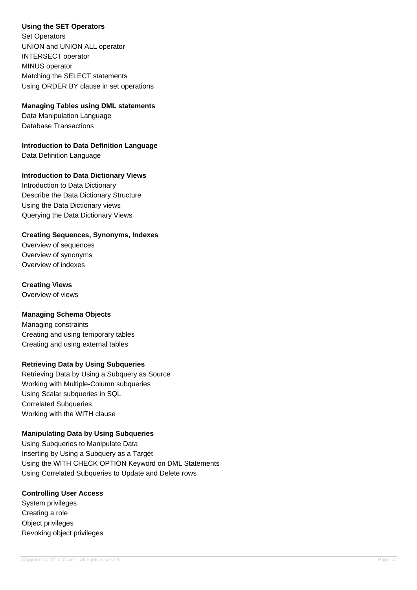## **Using the SET Operators**

Set Operators UNION and UNION ALL operator INTERSECT operator MINUS operator Matching the SELECT statements Using ORDER BY clause in set operations

## **Managing Tables using DML statements**

Data Manipulation Language Database Transactions

**Introduction to Data Definition Language**

Data Definition Language

## **Introduction to Data Dictionary Views**

Introduction to Data Dictionary Describe the Data Dictionary Structure Using the Data Dictionary views Querying the Data Dictionary Views

## **Creating Sequences, Synonyms, Indexes**

Overview of sequences Overview of synonyms Overview of indexes

## **Creating Views**

Overview of views

## **Managing Schema Objects**

Managing constraints Creating and using temporary tables Creating and using external tables

## **Retrieving Data by Using Subqueries**

Retrieving Data by Using a Subquery as Source Working with Multiple-Column subqueries Using Scalar subqueries in SQL Correlated Subqueries Working with the WITH clause

## **Manipulating Data by Using Subqueries**

Using Subqueries to Manipulate Data Inserting by Using a Subquery as a Target Using the WITH CHECK OPTION Keyword on DML Statements Using Correlated Subqueries to Update and Delete rows

#### **Controlling User Access**

System privileges Creating a role Object privileges Revoking object privileges